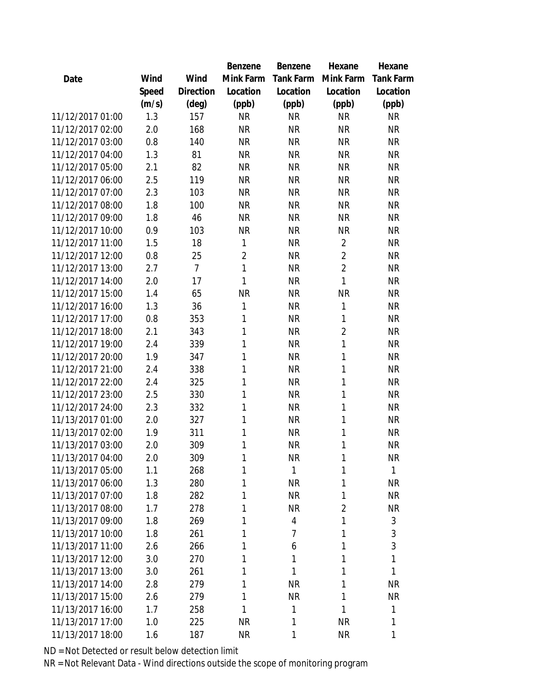|                  |       |                | Benzene        | Benzene          | Hexane         | Hexane           |
|------------------|-------|----------------|----------------|------------------|----------------|------------------|
| Date             | Wind  | Wind           | Mink Farm      | <b>Tank Farm</b> | Mink Farm      | <b>Tank Farm</b> |
|                  | Speed | Direction      | Location       | Location         | Location       | Location         |
|                  | (m/s) | $(\text{deg})$ | (ppb)          | (ppb)            | (ppb)          | (ppb)            |
| 11/12/2017 01:00 | 1.3   | 157            | <b>NR</b>      | <b>NR</b>        | <b>NR</b>      | <b>NR</b>        |
| 11/12/2017 02:00 | 2.0   | 168            | <b>NR</b>      | <b>NR</b>        | <b>NR</b>      | <b>NR</b>        |
| 11/12/2017 03:00 | 0.8   | 140            | <b>NR</b>      | <b>NR</b>        | <b>NR</b>      | <b>NR</b>        |
| 11/12/2017 04:00 | 1.3   | 81             | <b>NR</b>      | <b>NR</b>        | <b>NR</b>      | <b>NR</b>        |
| 11/12/2017 05:00 | 2.1   | 82             | <b>NR</b>      | <b>NR</b>        | <b>NR</b>      | <b>NR</b>        |
| 11/12/2017 06:00 | 2.5   | 119            | <b>NR</b>      | <b>NR</b>        | <b>NR</b>      | <b>NR</b>        |
| 11/12/2017 07:00 | 2.3   | 103            | <b>NR</b>      | <b>NR</b>        | <b>NR</b>      | <b>NR</b>        |
| 11/12/2017 08:00 | 1.8   | 100            | <b>NR</b>      | <b>NR</b>        | <b>NR</b>      | <b>NR</b>        |
| 11/12/2017 09:00 | 1.8   | 46             | <b>NR</b>      | <b>NR</b>        | <b>NR</b>      | <b>NR</b>        |
| 11/12/2017 10:00 | 0.9   | 103            | <b>NR</b>      | <b>NR</b>        | <b>NR</b>      | <b>NR</b>        |
| 11/12/2017 11:00 | 1.5   | 18             | 1              | <b>NR</b>        | $\overline{2}$ | <b>NR</b>        |
| 11/12/2017 12:00 | 0.8   | 25             | $\overline{2}$ | <b>NR</b>        | $\overline{2}$ | <b>NR</b>        |
| 11/12/2017 13:00 | 2.7   | $\overline{7}$ | 1              | <b>NR</b>        | $\overline{2}$ | <b>NR</b>        |
| 11/12/2017 14:00 | 2.0   | 17             | 1              | <b>NR</b>        | 1              | <b>NR</b>        |
| 11/12/2017 15:00 | 1.4   | 65             | <b>NR</b>      | <b>NR</b>        | <b>NR</b>      | <b>NR</b>        |
| 11/12/2017 16:00 | 1.3   | 36             | 1              | <b>NR</b>        | $\mathbf{1}$   | <b>NR</b>        |
| 11/12/2017 17:00 | 0.8   | 353            | 1              | <b>NR</b>        | $\mathbf{1}$   | <b>NR</b>        |
| 11/12/2017 18:00 | 2.1   | 343            | 1              | <b>NR</b>        | $\overline{2}$ | <b>NR</b>        |
| 11/12/2017 19:00 | 2.4   | 339            | 1              | <b>NR</b>        | 1              | <b>NR</b>        |
| 11/12/2017 20:00 | 1.9   | 347            | 1              | <b>NR</b>        | 1              | <b>NR</b>        |
| 11/12/2017 21:00 | 2.4   | 338            | 1              | <b>NR</b>        | 1              | <b>NR</b>        |
| 11/12/2017 22:00 | 2.4   | 325            | 1              | <b>NR</b>        | $\mathbf{1}$   | <b>NR</b>        |
| 11/12/2017 23:00 | 2.5   | 330            | 1              | <b>NR</b>        | 1              | <b>NR</b>        |
| 11/12/2017 24:00 | 2.3   | 332            | 1              | <b>NR</b>        | 1              | <b>NR</b>        |
| 11/13/2017 01:00 | 2.0   | 327            | 1              | <b>NR</b>        | $\mathbf{1}$   | <b>NR</b>        |
| 11/13/2017 02:00 | 1.9   | 311            | 1              | <b>NR</b>        | $\mathbf{1}$   | <b>NR</b>        |
| 11/13/2017 03:00 | 2.0   | 309            | 1              | <b>NR</b>        | 1              | <b>NR</b>        |
| 11/13/2017 04:00 | 2.0   | 309            | 1              | <b>NR</b>        | 1              | <b>NR</b>        |
| 11/13/2017 05:00 | 1.1   | 268            | 1              | 1                | 1              | 1                |
| 11/13/2017 06:00 | 1.3   | 280            | 1              | <b>NR</b>        | 1              | <b>NR</b>        |
| 11/13/2017 07:00 | 1.8   | 282            | 1              | <b>NR</b>        | 1              | <b>NR</b>        |
| 11/13/2017 08:00 | 1.7   | 278            | 1              | <b>NR</b>        | $\overline{2}$ | <b>NR</b>        |
| 11/13/2017 09:00 | 1.8   | 269            | 1              | 4                | 1              | 3                |
| 11/13/2017 10:00 | 1.8   | 261            | 1              | 7                | 1              | 3                |
| 11/13/2017 11:00 | 2.6   | 266            | 1              | 6                | 1              | $\sqrt{3}$       |
| 11/13/2017 12:00 | 3.0   | 270            | 1              | 1                | 1              | 1                |
| 11/13/2017 13:00 | 3.0   | 261            | 1              | 1                | 1              | 1                |
| 11/13/2017 14:00 | 2.8   | 279            | 1              | <b>NR</b>        | 1              | NR               |
| 11/13/2017 15:00 | 2.6   | 279            | 1              | <b>NR</b>        | 1              | <b>NR</b>        |
| 11/13/2017 16:00 | 1.7   | 258            | $\mathbf{1}$   | 1                | 1              | 1                |
| 11/13/2017 17:00 | 1.0   | 225            | <b>NR</b>      | 1                | <b>NR</b>      | 1                |
| 11/13/2017 18:00 | 1.6   | 187            | <b>NR</b>      | 1                | <b>NR</b>      | 1                |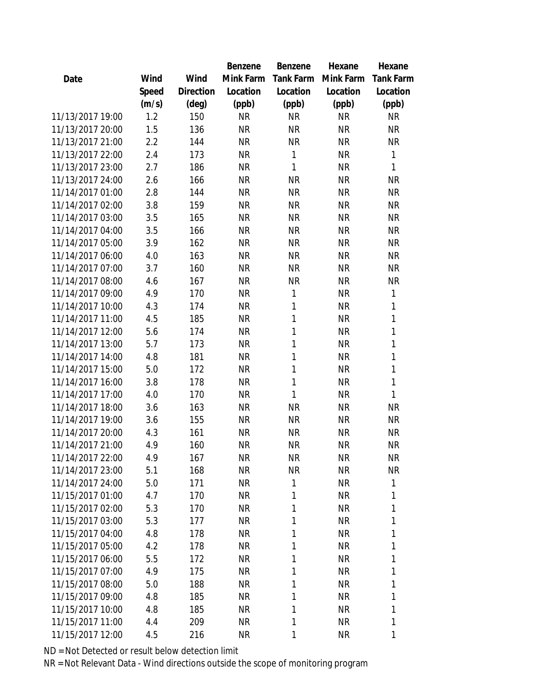|                  |       |                | Benzene   | Benzene   | Hexane    | Hexane           |
|------------------|-------|----------------|-----------|-----------|-----------|------------------|
| Date             | Wind  | Wind           | Mink Farm | Tank Farm | Mink Farm | <b>Tank Farm</b> |
|                  | Speed | Direction      | Location  | Location  | Location  | Location         |
|                  | (m/s) | $(\text{deg})$ | (ppb)     | (ppb)     | (ppb)     | (ppb)            |
| 11/13/2017 19:00 | 1.2   | 150            | <b>NR</b> | <b>NR</b> | <b>NR</b> | <b>NR</b>        |
| 11/13/2017 20:00 | 1.5   | 136            | <b>NR</b> | <b>NR</b> | <b>NR</b> | <b>NR</b>        |
| 11/13/2017 21:00 | 2.2   | 144            | <b>NR</b> | <b>NR</b> | <b>NR</b> | <b>NR</b>        |
| 11/13/2017 22:00 | 2.4   | 173            | <b>NR</b> | 1         | <b>NR</b> | 1                |
| 11/13/2017 23:00 | 2.7   | 186            | <b>NR</b> | 1         | <b>NR</b> | 1                |
| 11/13/2017 24:00 | 2.6   | 166            | <b>NR</b> | <b>NR</b> | <b>NR</b> | <b>NR</b>        |
| 11/14/2017 01:00 | 2.8   | 144            | <b>NR</b> | <b>NR</b> | <b>NR</b> | <b>NR</b>        |
| 11/14/2017 02:00 | 3.8   | 159            | <b>NR</b> | <b>NR</b> | <b>NR</b> | <b>NR</b>        |
| 11/14/2017 03:00 | 3.5   | 165            | <b>NR</b> | <b>NR</b> | <b>NR</b> | <b>NR</b>        |
| 11/14/2017 04:00 | 3.5   | 166            | <b>NR</b> | <b>NR</b> | <b>NR</b> | <b>NR</b>        |
| 11/14/2017 05:00 | 3.9   | 162            | <b>NR</b> | <b>NR</b> | <b>NR</b> | <b>NR</b>        |
| 11/14/2017 06:00 | 4.0   | 163            | <b>NR</b> | <b>NR</b> | <b>NR</b> | <b>NR</b>        |
| 11/14/2017 07:00 | 3.7   | 160            | <b>NR</b> | <b>NR</b> | <b>NR</b> | <b>NR</b>        |
| 11/14/2017 08:00 | 4.6   | 167            | <b>NR</b> | <b>NR</b> | <b>NR</b> | <b>NR</b>        |
| 11/14/2017 09:00 | 4.9   | 170            | <b>NR</b> | 1         | <b>NR</b> | 1                |
| 11/14/2017 10:00 | 4.3   | 174            | <b>NR</b> | 1         | <b>NR</b> | 1                |
| 11/14/2017 11:00 | 4.5   | 185            | <b>NR</b> | 1         | <b>NR</b> | 1                |
| 11/14/2017 12:00 | 5.6   | 174            | <b>NR</b> | 1         | <b>NR</b> | 1                |
| 11/14/2017 13:00 | 5.7   | 173            | <b>NR</b> | 1         | <b>NR</b> | 1                |
| 11/14/2017 14:00 | 4.8   | 181            | <b>NR</b> | 1         | <b>NR</b> | 1                |
| 11/14/2017 15:00 | 5.0   | 172            | <b>NR</b> | 1         | <b>NR</b> | 1                |
| 11/14/2017 16:00 | 3.8   | 178            | <b>NR</b> | 1         | <b>NR</b> | 1                |
| 11/14/2017 17:00 | 4.0   | 170            | <b>NR</b> | 1         | <b>NR</b> | 1                |
| 11/14/2017 18:00 | 3.6   | 163            | <b>NR</b> | <b>NR</b> | <b>NR</b> | <b>NR</b>        |
| 11/14/2017 19:00 | 3.6   | 155            | <b>NR</b> | <b>NR</b> | <b>NR</b> | <b>NR</b>        |
| 11/14/2017 20:00 | 4.3   | 161            | <b>NR</b> | <b>NR</b> | <b>NR</b> | <b>NR</b>        |
| 11/14/2017 21:00 | 4.9   | 160            | <b>NR</b> | <b>NR</b> | <b>NR</b> | <b>NR</b>        |
| 11/14/2017 22:00 | 4.9   | 167            | <b>NR</b> | <b>NR</b> | <b>NR</b> | <b>NR</b>        |
| 11/14/2017 23:00 | 5.1   | 168            | <b>NR</b> | <b>NR</b> | <b>NR</b> | <b>NR</b>        |
| 11/14/2017 24:00 | 5.0   | 171            | <b>NR</b> | 1         | <b>NR</b> | 1                |
| 11/15/2017 01:00 | 4.7   | 170            | <b>NR</b> | 1         | <b>NR</b> | 1                |
| 11/15/2017 02:00 | 5.3   | 170            | <b>NR</b> | 1         | <b>NR</b> | 1                |
| 11/15/2017 03:00 | 5.3   | 177            | <b>NR</b> | 1         | <b>NR</b> | 1                |
| 11/15/2017 04:00 | 4.8   | 178            | <b>NR</b> | 1         | <b>NR</b> | 1                |
| 11/15/2017 05:00 | 4.2   | 178            | <b>NR</b> | 1         | <b>NR</b> | 1                |
| 11/15/2017 06:00 | 5.5   | 172            | <b>NR</b> | 1         | <b>NR</b> | 1                |
| 11/15/2017 07:00 | 4.9   | 175            | <b>NR</b> | 1         | <b>NR</b> | 1                |
| 11/15/2017 08:00 | 5.0   | 188            | <b>NR</b> | 1         | <b>NR</b> | 1                |
| 11/15/2017 09:00 | 4.8   | 185            | <b>NR</b> | 1         | <b>NR</b> | 1                |
| 11/15/2017 10:00 | 4.8   | 185            | <b>NR</b> | 1         | <b>NR</b> | 1                |
| 11/15/2017 11:00 | 4.4   | 209            | <b>NR</b> | 1         | <b>NR</b> | 1                |
| 11/15/2017 12:00 | 4.5   | 216            | <b>NR</b> | 1         | <b>NR</b> | 1                |
|                  |       |                |           |           |           |                  |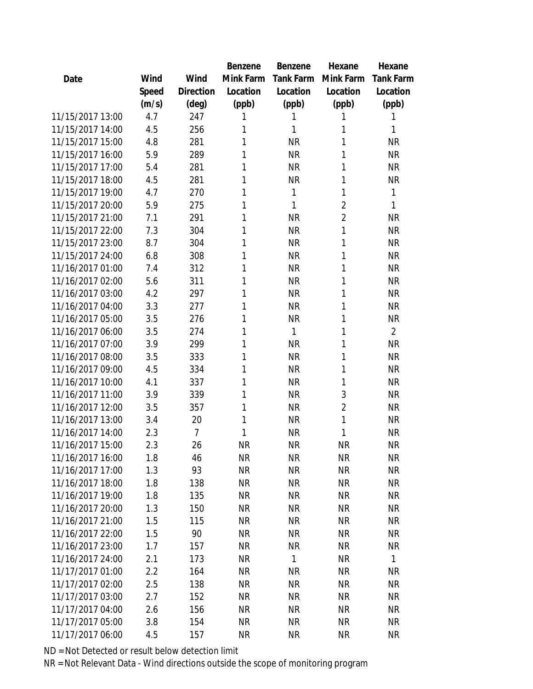|                  |       |                | Benzene   | <b>Benzene</b> | Hexane         | Hexane         |
|------------------|-------|----------------|-----------|----------------|----------------|----------------|
| Date             | Wind  | Wind           | Mink Farm | Tank Farm      | Mink Farm      | Tank Farm      |
|                  | Speed | Direction      | Location  | Location       | Location       | Location       |
|                  | (m/s) | (deg)          | (ppb)     | (ppb)          | (ppb)          | (ppb)          |
| 11/15/2017 13:00 | 4.7   | 247            | 1         | 1              | 1              | 1              |
| 11/15/2017 14:00 | 4.5   | 256            | 1         | 1              | 1              | 1              |
| 11/15/2017 15:00 | 4.8   | 281            | 1         | <b>NR</b>      | 1              | <b>NR</b>      |
| 11/15/2017 16:00 | 5.9   | 289            | 1         | <b>NR</b>      | 1              | <b>NR</b>      |
| 11/15/2017 17:00 | 5.4   | 281            | 1         | <b>NR</b>      | 1              | <b>NR</b>      |
| 11/15/2017 18:00 | 4.5   | 281            | 1         | <b>NR</b>      | 1              | <b>NR</b>      |
| 11/15/2017 19:00 | 4.7   | 270            | 1         | 1              | 1              | 1              |
| 11/15/2017 20:00 | 5.9   | 275            | 1         | 1              | $\overline{2}$ | 1              |
| 11/15/2017 21:00 | 7.1   | 291            | 1         | <b>NR</b>      | $\overline{2}$ | <b>NR</b>      |
| 11/15/2017 22:00 | 7.3   | 304            | 1         | <b>NR</b>      | 1              | <b>NR</b>      |
| 11/15/2017 23:00 | 8.7   | 304            | 1         | <b>NR</b>      | 1              | <b>NR</b>      |
| 11/15/2017 24:00 | 6.8   | 308            | 1         | <b>NR</b>      | 1              | <b>NR</b>      |
| 11/16/2017 01:00 | 7.4   | 312            | 1         | <b>NR</b>      | 1              | <b>NR</b>      |
| 11/16/2017 02:00 | 5.6   | 311            | 1         | <b>NR</b>      | 1              | <b>NR</b>      |
| 11/16/2017 03:00 | 4.2   | 297            | 1         | <b>NR</b>      | 1              | <b>NR</b>      |
| 11/16/2017 04:00 | 3.3   | 277            | 1         | <b>NR</b>      | 1              | <b>NR</b>      |
| 11/16/2017 05:00 | 3.5   | 276            | 1         | <b>NR</b>      | 1              | <b>NR</b>      |
| 11/16/2017 06:00 | 3.5   | 274            | 1         | 1              | 1              | $\overline{2}$ |
| 11/16/2017 07:00 | 3.9   | 299            | 1         | <b>NR</b>      | 1              | <b>NR</b>      |
| 11/16/2017 08:00 | 3.5   | 333            | 1         | <b>NR</b>      | 1              | <b>NR</b>      |
| 11/16/2017 09:00 | 4.5   | 334            | 1         | <b>NR</b>      | 1              | <b>NR</b>      |
| 11/16/2017 10:00 | 4.1   | 337            | 1         | <b>NR</b>      | 1              | <b>NR</b>      |
| 11/16/2017 11:00 | 3.9   | 339            | 1         | <b>NR</b>      | 3              | <b>NR</b>      |
| 11/16/2017 12:00 | 3.5   | 357            | 1         | <b>NR</b>      | $\overline{2}$ | <b>NR</b>      |
| 11/16/2017 13:00 | 3.4   | 20             | 1         | <b>NR</b>      | 1              | <b>NR</b>      |
| 11/16/2017 14:00 | 2.3   | $\overline{7}$ | 1         | <b>NR</b>      | 1              | <b>NR</b>      |
| 11/16/2017 15:00 | 2.3   | 26             | <b>NR</b> | <b>NR</b>      | <b>NR</b>      | <b>NR</b>      |
| 11/16/2017 16:00 | 1.8   | 46             | <b>NR</b> | <b>NR</b>      | <b>NR</b>      | <b>NR</b>      |
| 11/16/2017 17:00 | 1.3   | 93             | <b>NR</b> | <b>NR</b>      | <b>NR</b>      | <b>NR</b>      |
| 11/16/2017 18:00 | 1.8   | 138            | <b>NR</b> | <b>NR</b>      | <b>NR</b>      | <b>NR</b>      |
| 11/16/2017 19:00 | 1.8   | 135            | <b>NR</b> | <b>NR</b>      | <b>NR</b>      | <b>NR</b>      |
| 11/16/2017 20:00 | 1.3   | 150            | <b>NR</b> | <b>NR</b>      | <b>NR</b>      | <b>NR</b>      |
| 11/16/2017 21:00 | 1.5   | 115            | <b>NR</b> | <b>NR</b>      | <b>NR</b>      | <b>NR</b>      |
| 11/16/2017 22:00 | 1.5   | 90             | <b>NR</b> | <b>NR</b>      | <b>NR</b>      | <b>NR</b>      |
| 11/16/2017 23:00 | 1.7   | 157            | <b>NR</b> | <b>NR</b>      | <b>NR</b>      | <b>NR</b>      |
| 11/16/2017 24:00 | 2.1   | 173            | <b>NR</b> | 1              | <b>NR</b>      | 1              |
| 11/17/2017 01:00 | 2.2   | 164            | <b>NR</b> | <b>NR</b>      | <b>NR</b>      | <b>NR</b>      |
| 11/17/2017 02:00 | 2.5   | 138            | <b>NR</b> | <b>NR</b>      | <b>NR</b>      | <b>NR</b>      |
| 11/17/2017 03:00 | 2.7   | 152            | <b>NR</b> | <b>NR</b>      | <b>NR</b>      | <b>NR</b>      |
| 11/17/2017 04:00 | 2.6   | 156            | NR.       | <b>NR</b>      | <b>NR</b>      | <b>NR</b>      |
| 11/17/2017 05:00 | 3.8   | 154            | <b>NR</b> | <b>NR</b>      | <b>NR</b>      | <b>NR</b>      |
| 11/17/2017 06:00 | 4.5   | 157            | <b>NR</b> | <b>NR</b>      | <b>NR</b>      | <b>NR</b>      |
|                  |       |                |           |                |                |                |